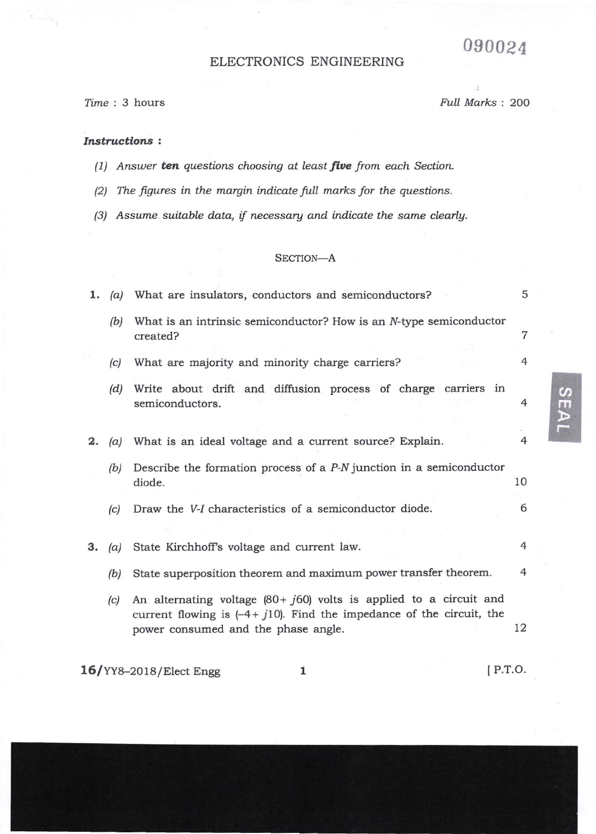# 090024

# ELECTRONICS ENGINEERING

Iime : 3 hours Full Marks : 2OO

## Instructions :

- $(1)$  Answer ten questions choosing at least five from each Section.
- (2) The figures in the margin indicate full marks for the questions.
- $(3)$  Assume suitable data, if necessary and indicate the same clearly.

## SECTION-A

| 1. | (a) | What are insulators, conductors and semiconductors?                                                                                                                                      | 5          |  |
|----|-----|------------------------------------------------------------------------------------------------------------------------------------------------------------------------------------------|------------|--|
|    | (b) | What is an intrinsic semiconductor? How is an N-type semiconductor<br>created?                                                                                                           | 7          |  |
|    | (c) | What are majority and minority charge carriers?                                                                                                                                          | 4          |  |
|    | (d) | Write about drift and diffusion process of charge carriers in<br>semiconductors.                                                                                                         | 4          |  |
| 2. | (a) | What is an ideal voltage and a current source? Explain.                                                                                                                                  | 4          |  |
|    | (b) | Describe the formation process of a $P-N$ junction in a semiconductor<br>diode.                                                                                                          | 10         |  |
|    | (c) | Draw the V-I characteristics of a semiconductor diode.                                                                                                                                   | 6          |  |
| З. | (a) | State Kirchhoff's voltage and current law.                                                                                                                                               | 4          |  |
|    | (b) | State superposition theorem and maximum power transfer theorem.                                                                                                                          | 4          |  |
|    | (c) | An alternating voltage $(80 + j60)$ volts is applied to a circuit and<br>current flowing is $(-4 + j10)$ . Find the impedance of the circuit, the<br>power consumed and the phase angle. | 12         |  |
|    |     | <b>16/YY8-2018/Elect Engg</b><br>1                                                                                                                                                       | $[$ P.T.O. |  |

<u>ທ</u> m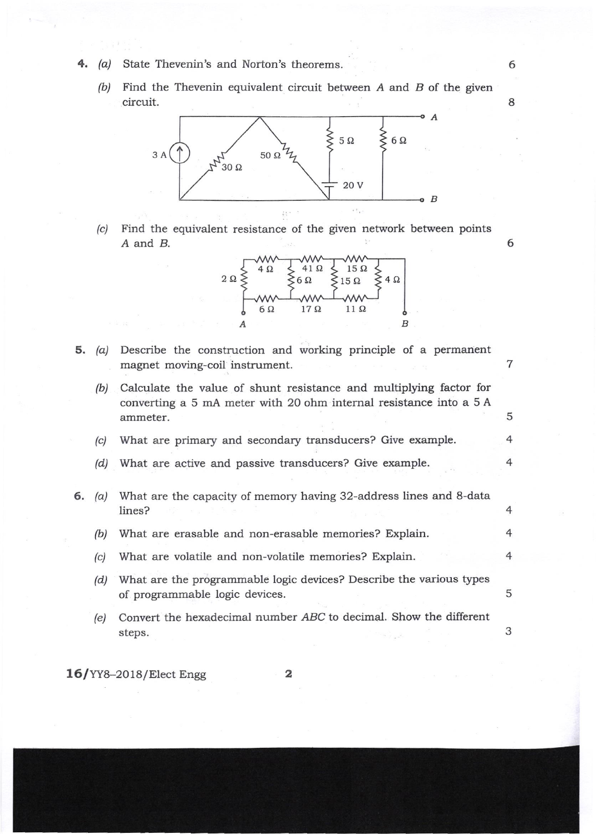- $(a)$ State Thevenin's and Norton's theorems.
	- (b) Find the Thevenin equivalent circuit between  $A$  and  $B$  of the given circuit.

6

8

6



(c) Find the equivalent resistance of the given network between points A and B.

 $\frac{1}{2}$ 



Describe the construction and working principle of a permanent 5.  $(a)$ 7 magnet moving-coil instrument. (b) Calculate the value of shunt resistance and multiplying factor for converting a 5 mA meter with 20 ohm internal resistance into a  $5 A$ 5 ammeter. (c) What are primary and secondary transducers? Give example. 4 4 (d) What are active and passive transducers? Give example. 6. (a) What are the capacity of memory having 32-address lines and 8-data lines? 4 4 (b) What are erasable and non-erasable memories? Explain. (c) What are volatile and non-volatile memories? Explain. 4 What are the programmable logic devices? Describe the various types (d) 5 of programmable logic devices. (e) Convert the hexadecimal number ABC to decimal. Show the different 3 steps.

16/YY8-2018/Elect Engg

$$
\mathbf{2} \\
$$